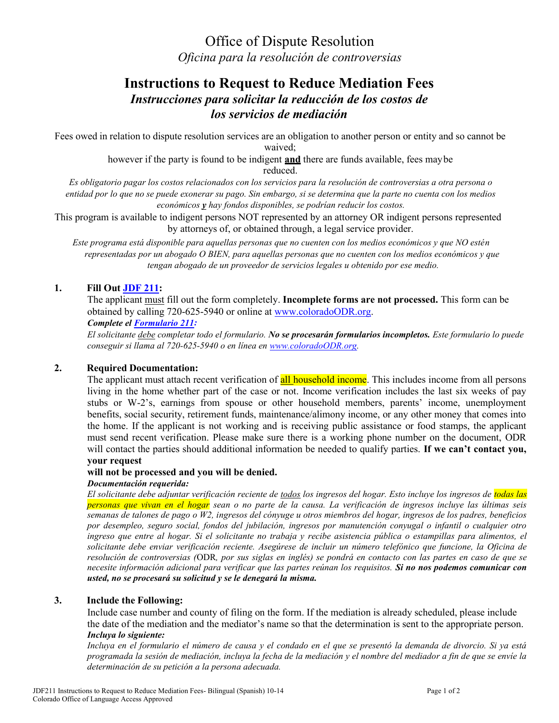Office of Dispute Resolution *Oficina para la resolución de controversias*

# **Instructions to Request to Reduce Mediation Fees**  *Instrucciones para solicitar la reducción de los costos de los servicios de mediación*

Fees owed in relation to dispute resolution services are an obligation to another person or entity and so cannot be waived;

> however if the party is found to be indigent **and** there are funds available, fees maybe reduced.

*Es obligatorio pagar los costos relacionados con los servicios para la resolución de controversias a otra persona o entidad por lo que no se puede exonerar su pago. Sin embargo, si se determina que la parte no cuenta con los medios económicos y hay fondos disponibles, se podrían reducir los costos.*

This program is available to indigent persons NOT represented by an attorney OR indigent persons represented by attorneys of, or obtained through, a legal service provider.

*Este programa está disponible para aquellas personas que no cuenten con los medios económicos y que NO estén representadas por un abogado O BIEN, para aquellas personas que no cuenten con los medios económicos y que tengan abogado de un proveedor de servicios legales u obtenido por ese medio.*

## **1. Fill Out [JDF](https://www.courts.state.co.us/userfiles/file/Administration/Planning_and_Analysis/Court%20Programs/ODR/New%20Fax%20number%20documents/JDF211%20Request%20to%20reduce%20payment%20for%20ODR%20services%20and%20supporting%20financial%20affidavit%20-%20Bilingual%20(Spanish)%2010-14(1).pdf) 211:**

The applicant must fill out the form completely. **Incomplete forms are not processed.** This form can be obtained by calling 720-625-5940 or online at [www.coloradoODR.org.](http://www.coloradoodr.org/) *Complete el [Formulario 211:](https://www.courts.state.co.us/userfiles/file/Administration/Planning_and_Analysis/Court%20Programs/ODR/New%20Fax%20number%20documents/JDF211%20Request%20to%20reduce%20payment%20for%20ODR%20services%20and%20supporting%20financial%20affidavit%20-%20Bilingual%20(Spanish)%2010-14(1).pdf)*

*El solicitante debe completar todo el formulario. No se procesarán formularios incompletos. Este formulario lo puede conseguir si llama al 720-625-5940 o en línea en [www.coloradoODR.org.](http://www.coloradoodr.org/)*

## **2. Required Documentation:**

The applicant must attach recent verification of all household income. This includes income from all persons living in the home whether part of the case or not. Income verification includes the last six weeks of pay stubs or W-2's, earnings from spouse or other household members, parents' income, unemployment benefits, social security, retirement funds, maintenance/alimony income, or any other money that comes into the home. If the applicant is not working and is receiving public assistance or food stamps, the applicant must send recent verification. Please make sure there is a working phone number on the document, ODR will contact the parties should additional information be needed to qualify parties. **If we can't contact you,** 

## **your request**

#### **will not be processed and you will be denied.**

#### *Documentación requerida:*

*El solicitante debe adjuntar verificación reciente de todos los ingresos del hogar. Esto incluye los ingresos de todas las personas que vivan en el hogar sean o no parte de la causa. La verificación de ingresos incluye las últimas seis semanas de talones de pago o W2, ingresos del cónyuge u otros miembros del hogar, ingresos de los padres, beneficios por desempleo, seguro social, fondos del jubilación, ingresos por manutención conyugal o infantil o cualquier otro ingreso que entre al hogar. Si el solicitante no trabaja y recibe asistencia pública o estampillas para alimentos, el solicitante debe enviar verificación reciente. Asegúrese de incluir un número telefónico que funcione, la Oficina de resolución de controversias (*ODR*, por sus siglas en inglés) se pondrá en contacto con las partes en caso de que se necesite información adicional para verificar que las partes reúnan los requisitos. Si no nos podemos comunicar con usted, no se procesará su solicitud y se le denegará la misma.*

#### **3. Include the Following:**

Include case number and county of filing on the form. If the mediation is already scheduled, please include the date of the mediation and the mediator's name so that the determination is sent to the appropriate person. *Incluya lo siguiente:*

*Incluya en el formulario el número de causa y el condado en el que se presentó la demanda de divorcio. Si ya está programada la sesión de mediación, incluya la fecha de la mediación y el nombre del mediador a fin de que se envíe la determinación de su petición a la persona adecuada.*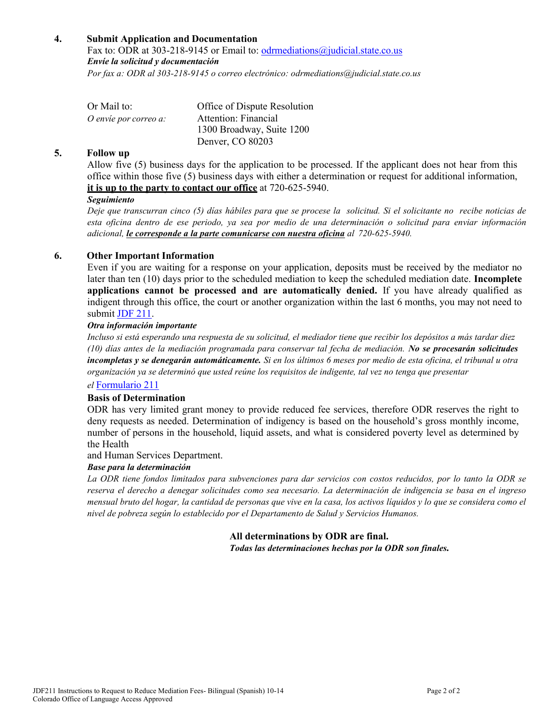## **4. Submit Application and Documentation**

Fax to: ODR at 303-218-9145 or Email to: [odrmediations@judicial.state.co.us](mailto:odrmediations@judicial.state.co.us) *Envíe la solicitud y documentación Por fax a: ODR al 303-218-9145 o correo electrónico[: odrmediations@judicial.state.co.us](mailto:odrmediations@judicial.state.co.us)*

| Or Mail to:           | Office of Dispute Resolution |
|-----------------------|------------------------------|
| O envie por correo a: | Attention: Financial         |
|                       | 1300 Broadway, Suite 1200    |
|                       | Denver, CO 80203             |

#### **5. Follow up**

Allow five (5) business days for the application to be processed. If the applicant does not hear from this office within those five (5) business days with either a determination or request for additional information, **it is up to the party to contact our office** at 720-625-5940.

#### *Seguimiento*

*Deje que transcurran cinco (5) días hábiles para que se procese la solicitud. Si el solicitante no recibe noticias de esta oficina dentro de ese periodo, ya sea por medio de una determinación o solicitud para enviar información adicional, le corresponde a la parte comunicarse con nuestra oficina al 720-625-5940.*

## **6. Other Important Information**

Even if you are waiting for a response on your application, deposits must be received by the mediator no later than ten (10) days prior to the scheduled mediation to keep the scheduled mediation date. **Incomplete applications cannot be processed and are automatically denied.** If you have already qualified as indigent through this office, the court or another organization within the last 6 months, you may not need to submit JDF [211.](https://www.courts.state.co.us/userfiles/file/Administration/Planning_and_Analysis/Court%20Programs/ODR/New%20Fax%20number%20documents/JDF211%20Request%20to%20reduce%20payment%20for%20ODR%20services%20and%20supporting%20financial%20affidavit%20-%20Bilingual%20(Spanish)%2010-14(1).pdf)

#### *Otra información importante*

*Incluso si está esperando una respuesta de su solicitud, el mediador tiene que recibir los depósitos a más tardar diez (10) días antes de la mediación programada para conservar tal fecha de mediación. No se procesarán solicitudes incompletas y se denegarán automáticamente. Si en los últimos 6 meses por medio de esta oficina, el tribunal u otra organización ya se determinó que usted reúne los requisitos de indigente, tal vez no tenga que presentar* 

## *el* [Formulario 211](https://www.courts.state.co.us/userfiles/file/Administration/Planning_and_Analysis/Court%20Programs/ODR/New%20Fax%20number%20documents/JDF211%20Request%20to%20reduce%20payment%20for%20ODR%20services%20and%20supporting%20financial%20affidavit%20-%20Bilingual%20(Spanish)%2010-14(1).pdf)

#### **Basis of Determination**

ODR has very limited grant money to provide reduced fee services, therefore ODR reserves the right to deny requests as needed. Determination of indigency is based on the household's gross monthly income, number of persons in the household, liquid assets, and what is considered poverty level as determined by the Health

and Human Services Department.

#### *Base para la determinación*

*La ODR tiene fondos limitados para subvenciones para dar servicios con costos reducidos, por lo tanto la ODR se reserva el derecho a denegar solicitudes como sea necesario. La determinación de indigencia se basa en el ingreso mensual bruto del hogar, la cantidad de personas que vive en la casa, los activos líquidos y lo que se considera como el nivel de pobreza según lo establecido por el Departamento de Salud y Servicios Humanos.*

## **All determinations by ODR are final.**

*Todas las determinaciones hechas por la ODR son finales.*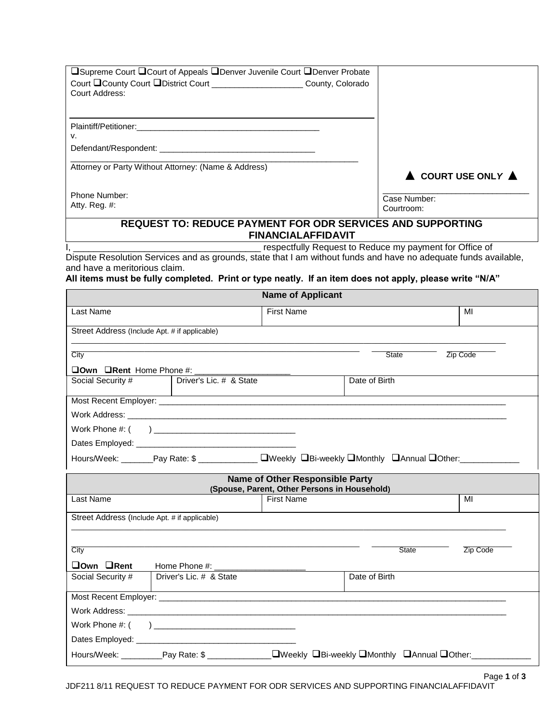|                                                                                                                                    |                         | □Supreme Court □ Court of Appeals □ Denver Juvenile Court □ Denver Probate                                      |               |              |                                                  |
|------------------------------------------------------------------------------------------------------------------------------------|-------------------------|-----------------------------------------------------------------------------------------------------------------|---------------|--------------|--------------------------------------------------|
|                                                                                                                                    |                         | Court County Court District Court Count County, Colorado                                                        |               |              |                                                  |
| Court Address:                                                                                                                     |                         |                                                                                                                 |               |              |                                                  |
|                                                                                                                                    |                         |                                                                                                                 |               |              |                                                  |
| Plaintiff/Petitioner:                                                                                                              |                         |                                                                                                                 |               |              |                                                  |
| v.                                                                                                                                 |                         |                                                                                                                 |               |              |                                                  |
|                                                                                                                                    |                         |                                                                                                                 |               |              |                                                  |
| Attorney or Party Without Attorney: (Name & Address)                                                                               |                         |                                                                                                                 |               |              |                                                  |
|                                                                                                                                    |                         |                                                                                                                 |               |              | $\blacktriangle$ COURT USE ONLY $\blacktriangle$ |
| Phone Number:                                                                                                                      |                         |                                                                                                                 |               | Case Number: |                                                  |
| Atty. Reg. #:                                                                                                                      |                         |                                                                                                                 |               | Courtroom:   |                                                  |
|                                                                                                                                    |                         | <b>REQUEST TO: REDUCE PAYMENT FOR ODR SERVICES AND SUPPORTING</b>                                               |               |              |                                                  |
|                                                                                                                                    |                         | <b>FINANCIALAFFIDAVIT</b>                                                                                       |               |              |                                                  |
|                                                                                                                                    |                         | respectfully Request to Reduce my payment for Office of                                                         |               |              |                                                  |
| and have a meritorious claim.                                                                                                      |                         | Dispute Resolution Services and as grounds, state that I am without funds and have no adequate funds available, |               |              |                                                  |
|                                                                                                                                    |                         |                                                                                                                 |               |              |                                                  |
| All items must be fully completed. Print or type neatly. If an item does not apply, please write "N/A"<br><b>Name of Applicant</b> |                         |                                                                                                                 |               |              |                                                  |
|                                                                                                                                    |                         |                                                                                                                 |               |              |                                                  |
| Last Name                                                                                                                          |                         | First Name                                                                                                      |               |              | MI                                               |
| Street Address (Include Apt. # if applicable)                                                                                      |                         |                                                                                                                 |               |              |                                                  |
|                                                                                                                                    |                         |                                                                                                                 |               |              |                                                  |
| City                                                                                                                               |                         |                                                                                                                 |               | <b>State</b> | Zip Code                                         |
| $\Box$ Own $\Box$ Rent Home Phone #:                                                                                               |                         |                                                                                                                 |               |              |                                                  |
| Social Security #                                                                                                                  | Driver's Lic. # & State |                                                                                                                 | Date of Birth |              |                                                  |
|                                                                                                                                    |                         |                                                                                                                 |               |              |                                                  |
|                                                                                                                                    |                         |                                                                                                                 |               |              |                                                  |
|                                                                                                                                    |                         |                                                                                                                 |               |              |                                                  |
|                                                                                                                                    |                         |                                                                                                                 |               |              |                                                  |
|                                                                                                                                    |                         | Hours/Week: _______Pay Rate: \$ ______________ DWeekly DBi-weekly DMonthly DAnnual DOther: _________            |               |              |                                                  |
| <b>Name of Other Responsible Party</b>                                                                                             |                         |                                                                                                                 |               |              |                                                  |
|                                                                                                                                    |                         | (Spouse, Parent, Other Persons in Household)                                                                    |               |              |                                                  |
| Last Name                                                                                                                          |                         | <b>First Name</b>                                                                                               |               |              | MI                                               |

| Street Address (Include Apt. # if applicable) |                         |                                                          |               |              |          |
|-----------------------------------------------|-------------------------|----------------------------------------------------------|---------------|--------------|----------|
| City                                          |                         |                                                          |               | <b>State</b> | Zip Code |
| $\Box$ Own $\Box$ Rent                        |                         |                                                          |               |              |          |
| Social Security #                             | Driver's Lic. # & State |                                                          | Date of Birth |              |          |
|                                               |                         |                                                          |               |              |          |
|                                               |                         |                                                          |               |              |          |
|                                               |                         |                                                          |               |              |          |
|                                               |                         |                                                          |               |              |          |
|                                               |                         | _□Weekly □Bi-weekly □Monthly □Annual □Other:____________ |               |              |          |
|                                               |                         |                                                          |               |              |          |

Page **1** of **3** JDF211 8/11 REQUEST TO REDUCE PAYMENT FOR ODR SERVICES AND SUPPORTING FINANCIALAFFIDAVIT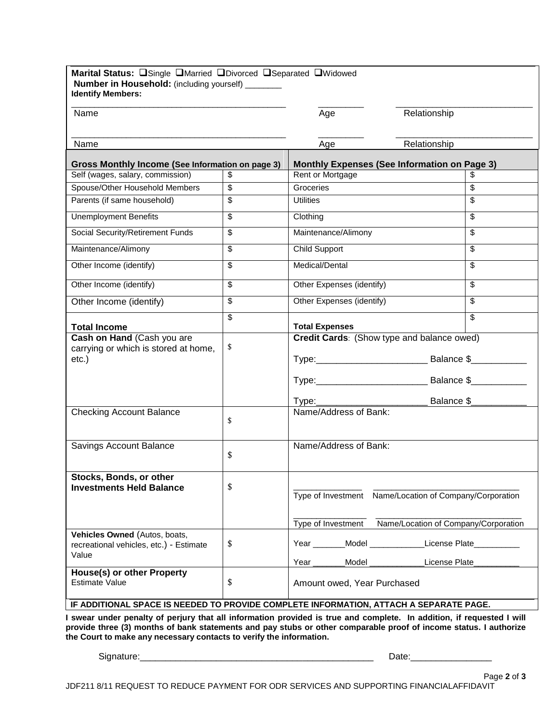| Marital Status: OSingle OMarried ODivorced OSeparated OWidowed<br>Number in Household: (including yourself) _______<br><b>Identify Members:</b> |    |                                                     |                                                                                                 |  |
|-------------------------------------------------------------------------------------------------------------------------------------------------|----|-----------------------------------------------------|-------------------------------------------------------------------------------------------------|--|
| Name                                                                                                                                            |    | Age                                                 | Relationship                                                                                    |  |
| Name                                                                                                                                            |    | Age                                                 | Relationship                                                                                    |  |
| Gross Monthly Income (See Information on page 3)                                                                                                |    | <b>Monthly Expenses (See Information on Page 3)</b> |                                                                                                 |  |
| Self (wages, salary, commission)                                                                                                                | \$ | Rent or Mortgage                                    | S                                                                                               |  |
| Spouse/Other Household Members                                                                                                                  | \$ | Groceries                                           | \$                                                                                              |  |
| Parents (if same household)                                                                                                                     | \$ | <b>Utilities</b>                                    | \$                                                                                              |  |
| <b>Unemployment Benefits</b>                                                                                                                    | \$ | Clothing                                            | $\overline{\mathbb{S}}$                                                                         |  |
| <b>Social Security/Retirement Funds</b>                                                                                                         | \$ | Maintenance/Alimony                                 | \$                                                                                              |  |
| Maintenance/Alimony                                                                                                                             | \$ | Child Support                                       | \$                                                                                              |  |
| Other Income (identify)                                                                                                                         | \$ | Medical/Dental                                      | \$                                                                                              |  |
| Other Income (identify)                                                                                                                         | \$ | Other Expenses (identify)                           | \$                                                                                              |  |
| Other Income (identify)                                                                                                                         | \$ | Other Expenses (identify)                           | \$                                                                                              |  |
| <b>Total Income</b>                                                                                                                             | \$ | <b>Total Expenses</b>                               | \$                                                                                              |  |
| Cash on Hand (Cash you are<br>carrying or which is stored at home,<br>etc.)                                                                     | \$ | Credit Cards: (Show type and balance owed)          |                                                                                                 |  |
| <b>Checking Account Balance</b>                                                                                                                 | \$ |                                                     |                                                                                                 |  |
| Savings Account Balance                                                                                                                         | \$ | Name/Address of Bank:                               |                                                                                                 |  |
| Stocks, Bonds, or other<br><b>Investments Held Balance</b>                                                                                      | \$ | Type of Investment                                  | Type of Investment Name/Location of Company/Corporation<br>Name/Location of Company/Corporation |  |
| Vehicles Owned (Autos, boats,<br>recreational vehicles, etc.) - Estimate<br>Value                                                               | \$ | _Model_<br>Year<br>Year<br>Model                    | <b>Example 21 License Plate</b><br>License Plate                                                |  |
| <b>House(s) or other Property</b><br><b>Estimate Value</b>                                                                                      | \$ | Amount owed, Year Purchased                         |                                                                                                 |  |

**I swear under penalty of perjury that all information provided is true and complete. In addition, if requested I will provide three (3) months of bank statements and pay stubs or other comparable proof of income status. I authorize the Court to make any necessary contacts to verify the information.** 

Signature:\_\_\_\_\_\_\_\_\_\_\_\_\_\_\_\_\_\_\_\_\_\_\_\_\_\_\_\_\_\_\_\_\_\_\_\_\_\_\_\_\_\_\_\_\_\_ Date:\_\_\_\_\_\_\_\_\_\_\_\_\_\_\_\_